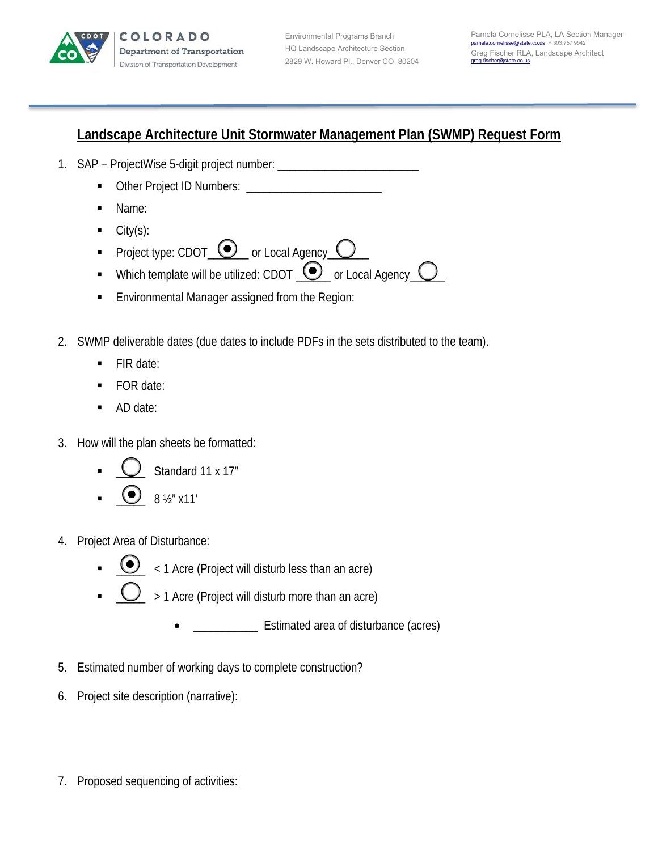

Environmental Programs Branch HQ Landscape Architecture Section 2829 W. Howard Pl., Denver CO 80204

## **Landscape Architecture Unit Stormwater Management Plan (SWMP) Request Form**

- 1. SAP ProjectWise 5-digit project number: \_\_\_\_\_\_\_\_\_\_\_\_\_\_\_\_\_\_\_\_\_\_\_\_\_\_\_\_\_\_\_\_\_\_\_
	- Other Project ID Numbers: \_\_\_\_\_\_\_\_\_\_\_\_\_\_\_\_\_\_\_\_\_\_\_
	- Name:
	- City(s):
	- Project type: CDOT  $\bigcirc$  or Local Agency C
	- Which template will be utilized: CDOT  $\bigcirc$  or Local Agency  $\bigcirc$
	- **Environmental Manager assigned from the Region:**
- 2. SWMP deliverable dates (due dates to include PDFs in the sets distributed to the team).
	- $\blacksquare$  FIR date:
	- FOR date:
	- AD date:
- 3. How will the plan sheets be formatted:
	- $\bigcup$  Standard 11 x 17"
	- $_{8\frac{1}{2}^\prime \times 11^\prime}$
- 4. Project Area of Disturbance:
	- $\bigodot$  < 1 Acre (Project will disturb less than an acre)
	- $\sum$  > 1 Acre (Project will disturb more than an acre)
		- \_\_\_\_\_\_\_\_\_\_\_ Estimated area of disturbance (acres)
- 5. Estimated number of working days to complete construction?
- 6. Project site description (narrative):
- 7. Proposed sequencing of activities: